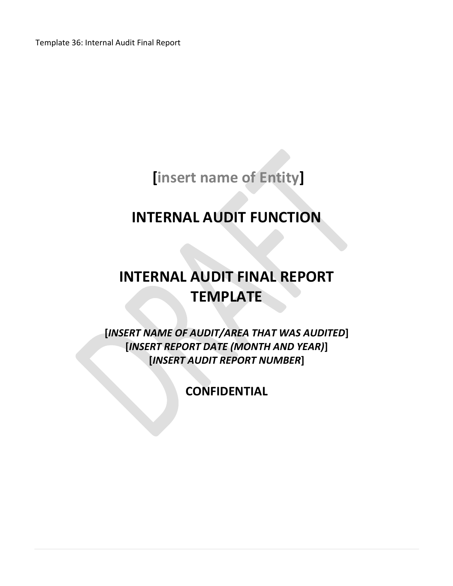Template 36: Internal Audit Final Report

**[insert name of Entity]**

## **INTERNAL AUDIT FUNCTION**

# **INTERNAL AUDIT FINAL REPORT TEMPLATE**

**[***INSERT NAME OF AUDIT/AREA THAT WAS AUDITED***] [***INSERT REPORT DATE (MONTH AND YEAR)***] [***INSERT AUDIT REPORT NUMBER***]**

**CONFIDENTIAL**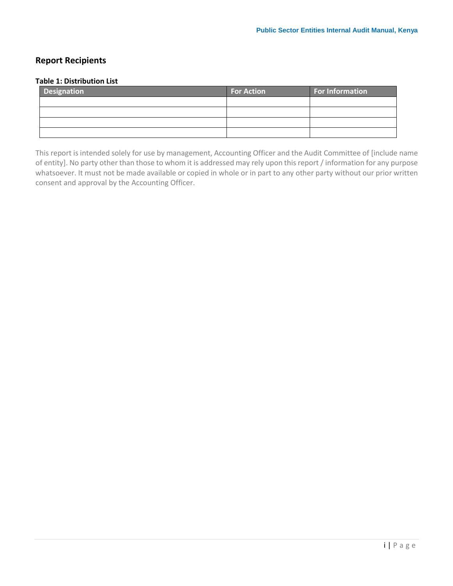## <span id="page-1-0"></span>**Report Recipients**

#### **Table 1: Distribution List**

| <b>Designation</b> | <b>For Action</b> | For Information |
|--------------------|-------------------|-----------------|
|                    |                   |                 |
|                    |                   |                 |
|                    |                   |                 |
|                    |                   |                 |

This report is intended solely for use by management, Accounting Officer and the Audit Committee of [include name of entity]. No party other than those to whom it is addressed may rely upon this report / information for any purpose whatsoever. It must not be made available or copied in whole or in part to any other party without our prior written consent and approval by the Accounting Officer.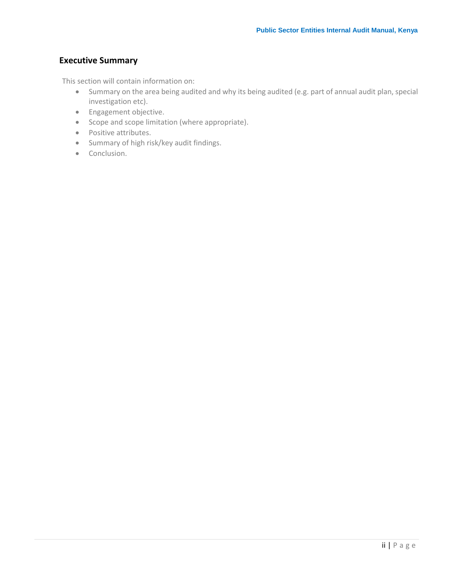## <span id="page-2-0"></span>**Executive Summary**

This section will contain information on:

- Summary on the area being audited and why its being audited (e.g. part of annual audit plan, special investigation etc).
- **•** Engagement objective.
- Scope and scope limitation (where appropriate).
- Positive attributes.
- Summary of high risk/key audit findings.
- Conclusion.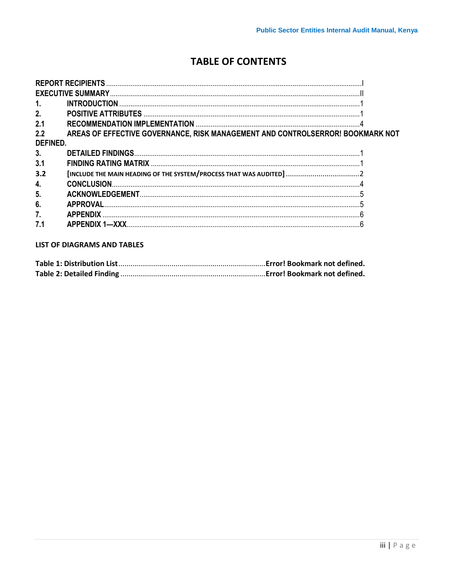## **TABLE OF CONTENTS**

| 1.             |                                                                                |  |
|----------------|--------------------------------------------------------------------------------|--|
| 2.             |                                                                                |  |
| 2.1            |                                                                                |  |
| 2.2            | AREAS OF EFFECTIVE GOVERNANCE, RISK MANAGEMENT AND CONTROLSERROR! BOOKMARK NOT |  |
| DEFINED.       |                                                                                |  |
| 3.             |                                                                                |  |
| 3.1            |                                                                                |  |
| 3.2            | [INCLUDE THE MAIN HEADING OF THE SYSTEM/PROCESS THAT WAS AUDITED]  2           |  |
| 4.             |                                                                                |  |
| 5.             |                                                                                |  |
| 6 <sub>1</sub> |                                                                                |  |
| 7.             |                                                                                |  |
| 7.1            | <b>APPENDIX 1-XXX</b>                                                          |  |

## **LIST OF DIAGRAMS AND TABLES**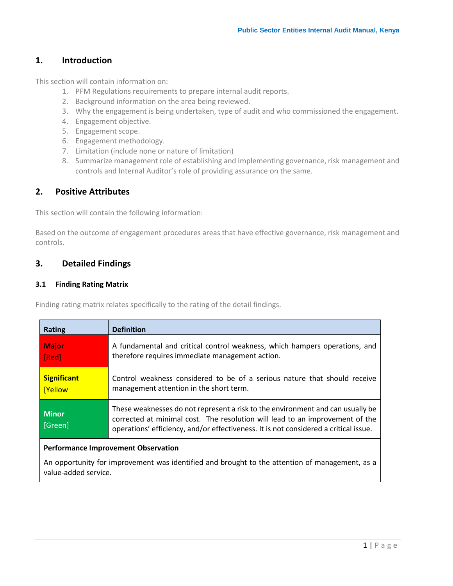## <span id="page-4-0"></span>**1. Introduction**

This section will contain information on:

- 1. PFM Regulations requirements to prepare internal audit reports.
- 2. Background information on the area being reviewed.
- 3. Why the engagement is being undertaken, type of audit and who commissioned the engagement.
- 4. Engagement objective.
- 5. Engagement scope.
- 6. Engagement methodology.
- 7. Limitation (include none or nature of limitation)
- 8. Summarize management role of establishing and implementing governance, risk management and controls and Internal Auditor's role of providing assurance on the same.

## <span id="page-4-1"></span>**2. Positive Attributes**

This section will contain the following information:

Based on the outcome of engagement procedures areas that have effective governance, risk management and controls.

## <span id="page-4-2"></span>**3. Detailed Findings**

#### <span id="page-4-3"></span>**3.1 Finding Rating Matrix**

Finding rating matrix relates specifically to the rating of the detail findings.

| <b>Rating</b>                  | <b>Definition</b>                                                                                                                                                                                                                                      |
|--------------------------------|--------------------------------------------------------------------------------------------------------------------------------------------------------------------------------------------------------------------------------------------------------|
| <b>Major</b><br>[Red]          | A fundamental and critical control weakness, which hampers operations, and<br>therefore requires immediate management action.                                                                                                                          |
| <b>Significant</b><br>[Yellow] | Control weakness considered to be of a serious nature that should receive<br>management attention in the short term.                                                                                                                                   |
| <b>Minor</b><br>[Green]        | These weaknesses do not represent a risk to the environment and can usually be<br>corrected at minimal cost. The resolution will lead to an improvement of the<br>operations' efficiency, and/or effectiveness. It is not considered a critical issue. |
|                                |                                                                                                                                                                                                                                                        |

#### **Performance Improvement Observation**

An opportunity for improvement was identified and brought to the attention of management, as a value-added service.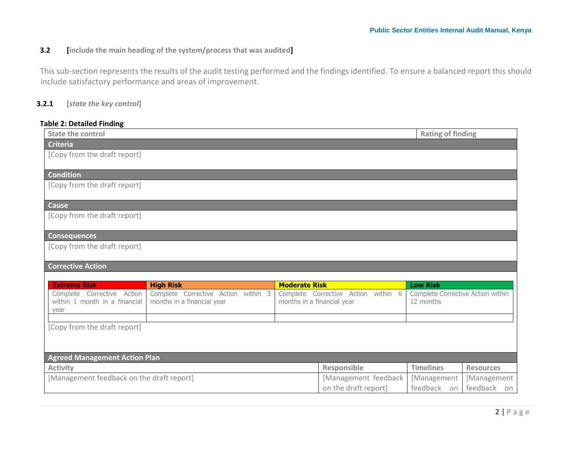## **3.2 [include the main heading of the system/process that was audited]**

This sub-section represents the results of the audit testing performed and the findings identified. To ensure a balanced report this should include satisfactory performance and areas of improvement.

### **3.2.1 [***state the key control***]**

#### **Table 2: Detailed Finding**

<span id="page-5-0"></span>

| <b>State the control</b>                                            |                                                                   |                            |                                              | <b>Rating of finding</b>                       |                            |
|---------------------------------------------------------------------|-------------------------------------------------------------------|----------------------------|----------------------------------------------|------------------------------------------------|----------------------------|
| <b>Criteria</b>                                                     |                                                                   |                            |                                              |                                                |                            |
| [Copy from the draft report]                                        |                                                                   |                            |                                              |                                                |                            |
| Condition                                                           |                                                                   |                            |                                              |                                                |                            |
| [Copy from the draft report]                                        |                                                                   |                            |                                              |                                                |                            |
| Cause                                                               |                                                                   |                            |                                              |                                                |                            |
| [Copy from the draft report]                                        |                                                                   |                            |                                              |                                                |                            |
| <b>Consequences</b>                                                 |                                                                   |                            |                                              |                                                |                            |
| [Copy from the draft report]                                        |                                                                   |                            |                                              |                                                |                            |
| <b>Corrective Action</b>                                            |                                                                   |                            |                                              |                                                |                            |
|                                                                     |                                                                   |                            |                                              |                                                |                            |
| <b>Extreme Risk</b>                                                 | <b>High Risk</b>                                                  | <b>Moderate Risk</b>       |                                              | <b>Low Risk</b>                                |                            |
| Complete Corrective Action<br>within 1 month in a financial<br>year | Complete Corrective Action within 3<br>months in a financial year | months in a financial year | Complete Corrective Action within 6          | Complete Corrective Action within<br>12 months |                            |
| [Copy from the draft report]                                        |                                                                   |                            |                                              |                                                |                            |
|                                                                     |                                                                   |                            |                                              |                                                |                            |
| <b>Agreed Management Action Plan</b>                                |                                                                   |                            |                                              |                                                |                            |
|                                                                     |                                                                   |                            |                                              |                                                |                            |
| <b>Activity</b>                                                     |                                                                   |                            | Responsible                                  | <b>Timelines</b>                               | <b>Resources</b>           |
| [Management feedback on the draft report]                           |                                                                   |                            | [Management feedback<br>on the draft report] | [Management<br>feedback                        | [Management<br>feedback on |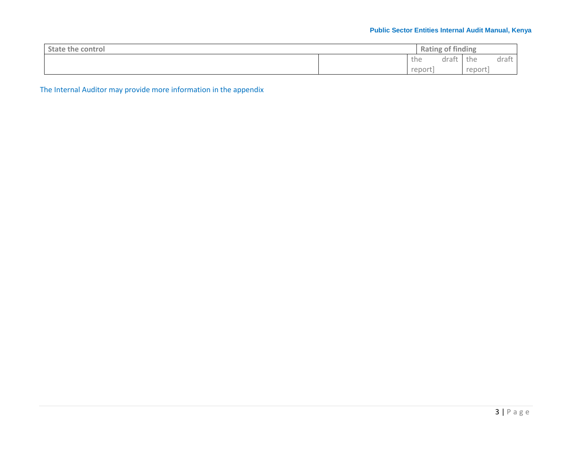## **Public Sector Entities Internal Audit Manual, Kenya**

| <b>State the control</b> | Rating | of finding |        |       |
|--------------------------|--------|------------|--------|-------|
|                          | the    | draf       | the    | draft |
|                          | report |            | report |       |

The Internal Auditor may provide more information in the appendix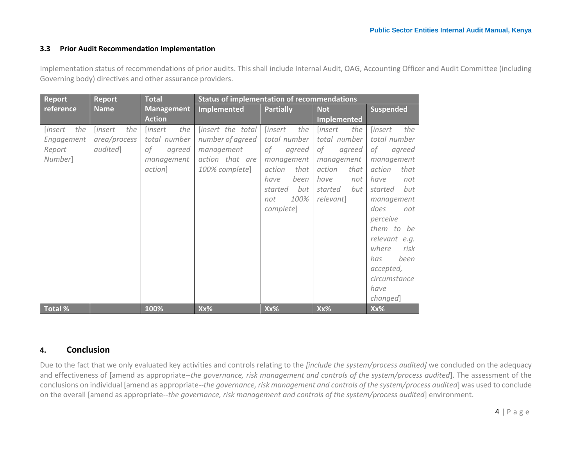#### **3.3 Prior Audit Recommendation Implementation**

Implementation status of recommendations of prior audits. This shall include Internal Audit, OAG, Accounting Officer and Audit Committee (including Governing body) directives and other assurance providers.

<span id="page-7-0"></span>

| <b>Report</b>                                            | <b>Report</b>                                                    | <b>Total</b>                                                                   | <b>Status of implementation of recommendations</b>                                       |                                                                                                                                                     |                                                                                                                                     |                                                                                                                                                                                                                                                                                    |
|----------------------------------------------------------|------------------------------------------------------------------|--------------------------------------------------------------------------------|------------------------------------------------------------------------------------------|-----------------------------------------------------------------------------------------------------------------------------------------------------|-------------------------------------------------------------------------------------------------------------------------------------|------------------------------------------------------------------------------------------------------------------------------------------------------------------------------------------------------------------------------------------------------------------------------------|
| reference                                                | <b>Name</b>                                                      | <b>Management</b>                                                              | <b>Implemented</b>                                                                       | <b>Partially</b>                                                                                                                                    | <b>Suspended</b><br><b>Not</b>                                                                                                      |                                                                                                                                                                                                                                                                                    |
|                                                          |                                                                  | <b>Action</b>                                                                  |                                                                                          |                                                                                                                                                     | <b>Implemented</b>                                                                                                                  |                                                                                                                                                                                                                                                                                    |
| the<br><i>[insert</i><br>Engagement<br>Report<br>Number] | <i><u><b>[insert]</b></u></i><br>the<br>area/process<br>audited] | the<br><i>linsert</i><br>total number<br>οf<br>agreed<br>management<br>action] | [insert the total<br>number of agreed<br>management<br>action that are<br>100% complete] | <i>linsert</i><br>the<br>total number<br>0f<br>agreed<br>management<br>action<br>that<br>been<br>have<br>but<br>started<br>100%<br>not<br>complete] | <i>linsert</i><br>the<br>total number<br>of<br>agreed<br>management<br>action<br>that<br>have<br>not<br>but<br>started<br>relevant] | the<br><i>linsert</i><br>total number<br>of<br>agreed<br>management<br>action<br>that<br>have<br>not<br>but<br>started<br>management<br>does<br>not<br>perceive<br>them to<br>be<br>relevant e.g.<br>where<br>risk<br>been<br>has<br>accepted,<br>circumstance<br>have<br>changed] |
| <b>Total %</b>                                           |                                                                  | 100%                                                                           | Xx%                                                                                      | Xx%                                                                                                                                                 | Xx%                                                                                                                                 | Xx%                                                                                                                                                                                                                                                                                |

## **4. Conclusion**

Due to the fact that we only evaluated key activities and controls relating to the *[include the system/process audited]* we concluded on the adequacy and effectiveness of [amend as appropriate--*the governance, risk management and controls of the system/process audited*]. The assessment of the conclusions on individual [amend as appropriate--*the governance, risk management and controls of the system/process audited*] was used to conclude on the overall [amend as appropriate--*the governance, risk management and controls of the system/process audited*] environment.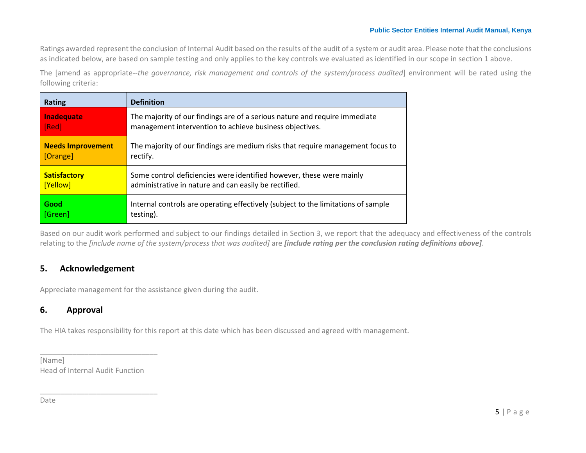Ratings awarded represent the conclusion of Internal Audit based on the results of the audit of a system or audit area. Please note that the conclusions as indicated below, are based on sample testing and only applies to the key controls we evaluated as identified in our scope in section 1 above.

The [amend as appropriate--*the governance, risk management and controls of the system/process audited*] environment will be rated using the following criteria:

| Rating                   | <b>Definition</b>                                                                 |
|--------------------------|-----------------------------------------------------------------------------------|
| Inadequate               | The majority of our findings are of a serious nature and require immediate        |
| [Red]                    | management intervention to achieve business objectives.                           |
| <b>Needs Improvement</b> | The majority of our findings are medium risks that require management focus to    |
| [Orange]                 | rectify.                                                                          |
| <b>Satisfactory</b>      | Some control deficiencies were identified however, these were mainly              |
| [Yellow]                 | administrative in nature and can easily be rectified.                             |
| Good                     | Internal controls are operating effectively (subject to the limitations of sample |
| [Green]                  | testing).                                                                         |

Based on our audit work performed and subject to our findings detailed in Section 3, we report that the adequacy and effectiveness of the controls relating to the *[include name of the system/process that was audited]* are *[include rating per the conclusion rating definitions above]*.

## **5. Acknowledgement**

Appreciate management for the assistance given during the audit.

## **6. Approval**

The HIA takes responsibility for this report at this date which has been discussed and agreed with management.

[Name] Head of Internal Audit Function

\_\_\_\_\_\_\_\_\_\_\_\_\_\_\_\_\_\_\_\_\_\_\_\_\_\_\_\_\_

<span id="page-8-1"></span><span id="page-8-0"></span>\_\_\_\_\_\_\_\_\_\_\_\_\_\_\_\_\_\_\_\_\_\_\_\_\_\_\_\_\_